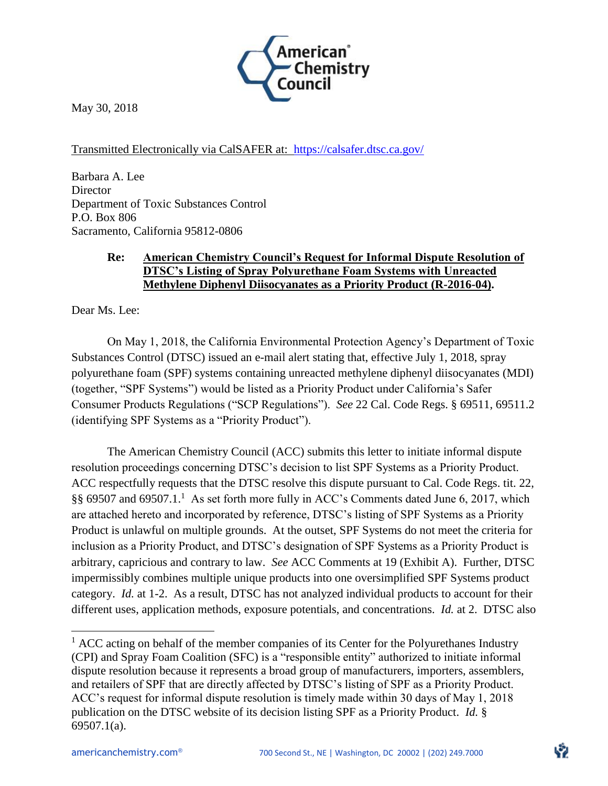

May 30, 2018

Transmitted Electronically via CalSAFER at: https://calsafer.dtsc.ca.gov/

Barbara A. Lee **Director** Department of Toxic Substances Control P.O. Box 806 Sacramento, California 95812-0806

### **Re: American Chemistry Council's Request for Informal Dispute Resolution of DTSC's Listing of Spray Polyurethane Foam Systems with Unreacted Methylene Diphenyl Diisocyanates as a Priority Product (R-2016-04).**

Dear Ms. Lee:

On May 1, 2018, the California Environmental Protection Agency's Department of Toxic Substances Control (DTSC) issued an e-mail alert stating that, effective July 1, 2018, spray polyurethane foam (SPF) systems containing unreacted methylene diphenyl diisocyanates (MDI) (together, "SPF Systems") would be listed as a Priority Product under California's Safer Consumer Products Regulations ("SCP Regulations"). *See* 22 Cal. Code Regs. § 69511, 69511.2 (identifying SPF Systems as a "Priority Product").

The American Chemistry Council (ACC) submits this letter to initiate informal dispute resolution proceedings concerning DTSC's decision to list SPF Systems as a Priority Product. ACC respectfully requests that the DTSC resolve this dispute pursuant to Cal. Code Regs. tit. 22, §§ 69507 and 69507.1.<sup>1</sup> As set forth more fully in ACC's Comments dated June 6, 2017, which are attached hereto and incorporated by reference, DTSC's listing of SPF Systems as a Priority Product is unlawful on multiple grounds. At the outset, SPF Systems do not meet the criteria for inclusion as a Priority Product, and DTSC's designation of SPF Systems as a Priority Product is arbitrary, capricious and contrary to law. *See* ACC Comments at 19 (Exhibit A). Further, DTSC impermissibly combines multiple unique products into one oversimplified SPF Systems product category. *Id.* at 1-2. As a result, DTSC has not analyzed individual products to account for their different uses, application methods, exposure potentials, and concentrations. *Id.* at 2. DTSC also

 $\overline{\phantom{a}}$ 

 $<sup>1</sup>$  ACC acting on behalf of the member companies of its Center for the Polyurethanes Industry</sup> (CPI) and Spray Foam Coalition (SFC) is a "responsible entity" authorized to initiate informal dispute resolution because it represents a broad group of manufacturers, importers, assemblers, and retailers of SPF that are directly affected by DTSC's listing of SPF as a Priority Product. ACC's request for informal dispute resolution is timely made within 30 days of May 1, 2018 publication on the DTSC website of its decision listing SPF as a Priority Product. *Id.* § 69507.1(a).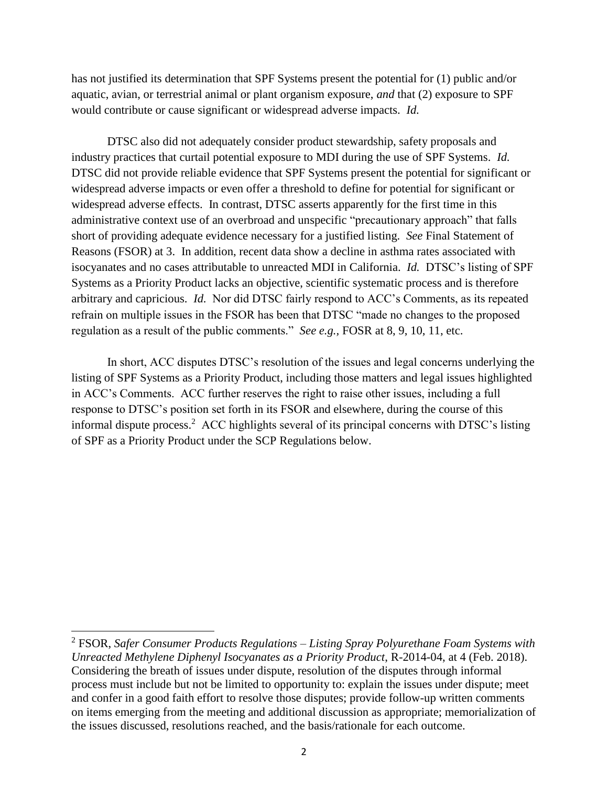has not justified its determination that SPF Systems present the potential for (1) public and/or aquatic, avian, or terrestrial animal or plant organism exposure, *and* that (2) exposure to SPF would contribute or cause significant or widespread adverse impacts. *Id.*

DTSC also did not adequately consider product stewardship, safety proposals and industry practices that curtail potential exposure to MDI during the use of SPF Systems. *Id.* DTSC did not provide reliable evidence that SPF Systems present the potential for significant or widespread adverse impacts or even offer a threshold to define for potential for significant or widespread adverse effects. In contrast, DTSC asserts apparently for the first time in this administrative context use of an overbroad and unspecific "precautionary approach" that falls short of providing adequate evidence necessary for a justified listing. *See* Final Statement of Reasons (FSOR) at 3. In addition, recent data show a decline in asthma rates associated with isocyanates and no cases attributable to unreacted MDI in California. *Id.* DTSC's listing of SPF Systems as a Priority Product lacks an objective, scientific systematic process and is therefore arbitrary and capricious. *Id.* Nor did DTSC fairly respond to ACC's Comments, as its repeated refrain on multiple issues in the FSOR has been that DTSC "made no changes to the proposed regulation as a result of the public comments." *See e.g.,* FOSR at 8, 9, 10, 11, etc.

In short, ACC disputes DTSC's resolution of the issues and legal concerns underlying the listing of SPF Systems as a Priority Product, including those matters and legal issues highlighted in ACC's Comments. ACC further reserves the right to raise other issues, including a full response to DTSC's position set forth in its FSOR and elsewhere, during the course of this informal dispute process.<sup>2</sup> ACC highlights several of its principal concerns with DTSC's listing of SPF as a Priority Product under the SCP Regulations below.

 $\overline{\phantom{a}}$ 

<sup>2</sup> FSOR, *Safer Consumer Products Regulations – Listing Spray Polyurethane Foam Systems with Unreacted Methylene Diphenyl Isocyanates as a Priority Product*, R-2014-04, at 4 (Feb. 2018). Considering the breath of issues under dispute, resolution of the disputes through informal process must include but not be limited to opportunity to: explain the issues under dispute; meet and confer in a good faith effort to resolve those disputes; provide follow-up written comments on items emerging from the meeting and additional discussion as appropriate; memorialization of the issues discussed, resolutions reached, and the basis/rationale for each outcome.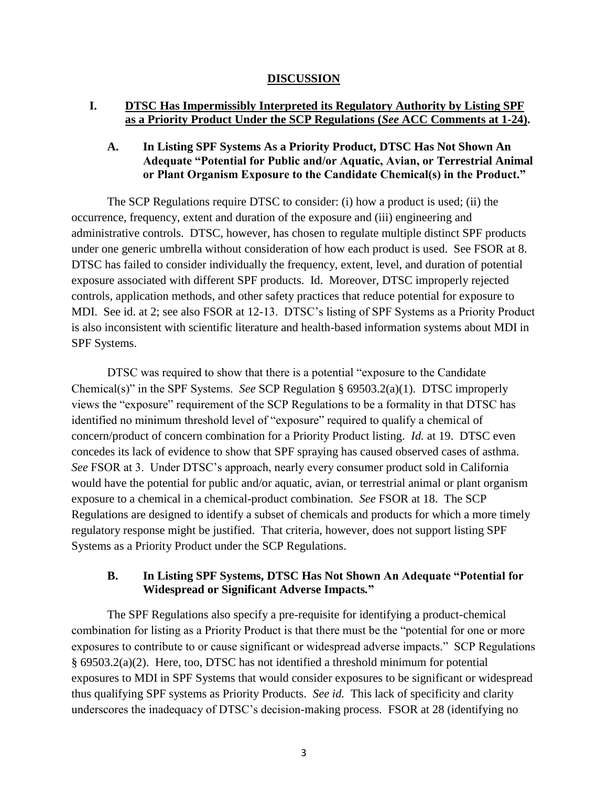#### **DISCUSSION**

### **I. DTSC Has Impermissibly Interpreted its Regulatory Authority by Listing SPF as a Priority Product Under the SCP Regulations (***See* **ACC Comments at 1-24).**

### **A. In Listing SPF Systems As a Priority Product, DTSC Has Not Shown An Adequate "Potential for Public and/or Aquatic, Avian, or Terrestrial Animal or Plant Organism Exposure to the Candidate Chemical(s) in the Product."**

The SCP Regulations require DTSC to consider: (i) how a product is used; (ii) the occurrence, frequency, extent and duration of the exposure and (iii) engineering and administrative controls. DTSC, however, has chosen to regulate multiple distinct SPF products under one generic umbrella without consideration of how each product is used. See FSOR at 8. DTSC has failed to consider individually the frequency, extent, level, and duration of potential exposure associated with different SPF products. Id. Moreover, DTSC improperly rejected controls, application methods, and other safety practices that reduce potential for exposure to MDI. See id. at 2; see also FSOR at 12-13. DTSC's listing of SPF Systems as a Priority Product is also inconsistent with scientific literature and health-based information systems about MDI in SPF Systems.

DTSC was required to show that there is a potential "exposure to the Candidate Chemical(s)" in the SPF Systems. *See* SCP Regulation § 69503.2(a)(1). DTSC improperly views the "exposure" requirement of the SCP Regulations to be a formality in that DTSC has identified no minimum threshold level of "exposure" required to qualify a chemical of concern/product of concern combination for a Priority Product listing. *Id.* at 19. DTSC even concedes its lack of evidence to show that SPF spraying has caused observed cases of asthma. *See* FSOR at 3. Under DTSC's approach, nearly every consumer product sold in California would have the potential for public and/or aquatic, avian, or terrestrial animal or plant organism exposure to a chemical in a chemical-product combination. *See* FSOR at 18. The SCP Regulations are designed to identify a subset of chemicals and products for which a more timely regulatory response might be justified. That criteria, however, does not support listing SPF Systems as a Priority Product under the SCP Regulations.

### **B. In Listing SPF Systems, DTSC Has Not Shown An Adequate "Potential for Widespread or Significant Adverse Impacts***.***"**

The SPF Regulations also specify a pre-requisite for identifying a product-chemical combination for listing as a Priority Product is that there must be the "potential for one or more exposures to contribute to or cause significant or widespread adverse impacts." SCP Regulations § 69503.2(a)(2). Here, too, DTSC has not identified a threshold minimum for potential exposures to MDI in SPF Systems that would consider exposures to be significant or widespread thus qualifying SPF systems as Priority Products. *See id.* This lack of specificity and clarity underscores the inadequacy of DTSC's decision-making process. FSOR at 28 (identifying no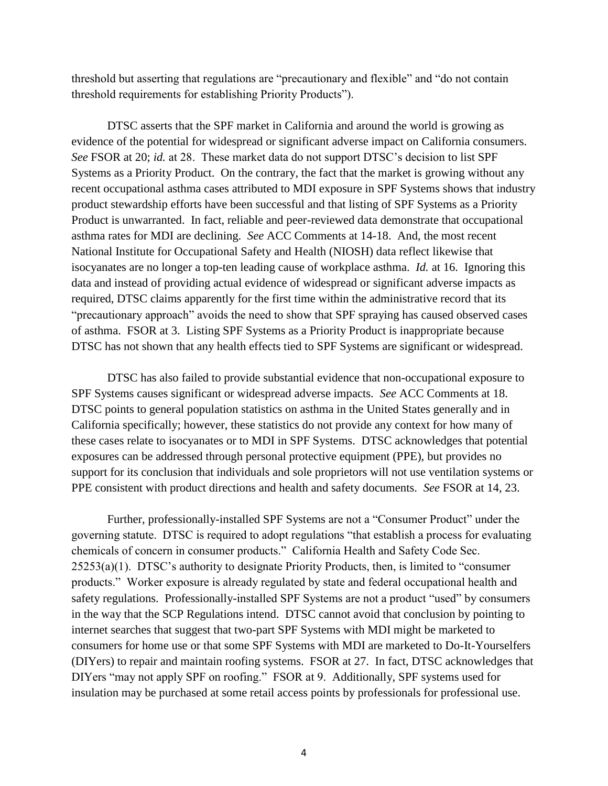threshold but asserting that regulations are "precautionary and flexible" and "do not contain threshold requirements for establishing Priority Products").

DTSC asserts that the SPF market in California and around the world is growing as evidence of the potential for widespread or significant adverse impact on California consumers. *See* FSOR at 20; *id.* at 28. These market data do not support DTSC's decision to list SPF Systems as a Priority Product. On the contrary, the fact that the market is growing without any recent occupational asthma cases attributed to MDI exposure in SPF Systems shows that industry product stewardship efforts have been successful and that listing of SPF Systems as a Priority Product is unwarranted. In fact, reliable and peer-reviewed data demonstrate that occupational asthma rates for MDI are declining. *See* ACC Comments at 14-18. And, the most recent National Institute for Occupational Safety and Health (NIOSH) data reflect likewise that isocyanates are no longer a top-ten leading cause of workplace asthma. *Id.* at 16. Ignoring this data and instead of providing actual evidence of widespread or significant adverse impacts as required, DTSC claims apparently for the first time within the administrative record that its "precautionary approach" avoids the need to show that SPF spraying has caused observed cases of asthma. FSOR at 3. Listing SPF Systems as a Priority Product is inappropriate because DTSC has not shown that any health effects tied to SPF Systems are significant or widespread.

DTSC has also failed to provide substantial evidence that non-occupational exposure to SPF Systems causes significant or widespread adverse impacts. *See* ACC Comments at 18. DTSC points to general population statistics on asthma in the United States generally and in California specifically; however, these statistics do not provide any context for how many of these cases relate to isocyanates or to MDI in SPF Systems. DTSC acknowledges that potential exposures can be addressed through personal protective equipment (PPE), but provides no support for its conclusion that individuals and sole proprietors will not use ventilation systems or PPE consistent with product directions and health and safety documents. *See* FSOR at 14, 23.

Further, professionally-installed SPF Systems are not a "Consumer Product" under the governing statute. DTSC is required to adopt regulations "that establish a process for evaluating chemicals of concern in consumer products." California Health and Safety Code Sec. 25253(a)(1). DTSC's authority to designate Priority Products, then, is limited to "consumer products." Worker exposure is already regulated by state and federal occupational health and safety regulations. Professionally-installed SPF Systems are not a product "used" by consumers in the way that the SCP Regulations intend. DTSC cannot avoid that conclusion by pointing to internet searches that suggest that two-part SPF Systems with MDI might be marketed to consumers for home use or that some SPF Systems with MDI are marketed to Do-It-Yourselfers (DIYers) to repair and maintain roofing systems. FSOR at 27. In fact, DTSC acknowledges that DIYers "may not apply SPF on roofing." FSOR at 9.Additionally, SPF systems used for insulation may be purchased at some retail access points by professionals for professional use.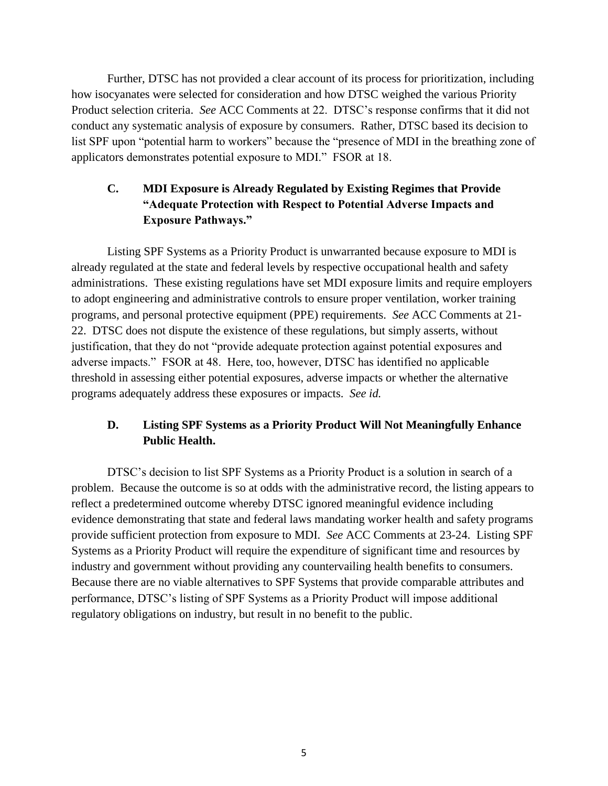Further, DTSC has not provided a clear account of its process for prioritization, including how isocyanates were selected for consideration and how DTSC weighed the various Priority Product selection criteria. *See* ACC Comments at 22. DTSC's response confirms that it did not conduct any systematic analysis of exposure by consumers. Rather, DTSC based its decision to list SPF upon "potential harm to workers" because the "presence of MDI in the breathing zone of applicators demonstrates potential exposure to MDI." FSOR at 18.

# **C. MDI Exposure is Already Regulated by Existing Regimes that Provide "Adequate Protection with Respect to Potential Adverse Impacts and Exposure Pathways."**

Listing SPF Systems as a Priority Product is unwarranted because exposure to MDI is already regulated at the state and federal levels by respective occupational health and safety administrations. These existing regulations have set MDI exposure limits and require employers to adopt engineering and administrative controls to ensure proper ventilation, worker training programs, and personal protective equipment (PPE) requirements. *See* ACC Comments at 21- 22. DTSC does not dispute the existence of these regulations, but simply asserts, without justification, that they do not "provide adequate protection against potential exposures and adverse impacts." FSOR at 48. Here, too, however, DTSC has identified no applicable threshold in assessing either potential exposures, adverse impacts or whether the alternative programs adequately address these exposures or impacts. *See id.*

# **D. Listing SPF Systems as a Priority Product Will Not Meaningfully Enhance Public Health.**

DTSC's decision to list SPF Systems as a Priority Product is a solution in search of a problem. Because the outcome is so at odds with the administrative record, the listing appears to reflect a predetermined outcome whereby DTSC ignored meaningful evidence including evidence demonstrating that state and federal laws mandating worker health and safety programs provide sufficient protection from exposure to MDI. *See* ACC Comments at 23-24. Listing SPF Systems as a Priority Product will require the expenditure of significant time and resources by industry and government without providing any countervailing health benefits to consumers. Because there are no viable alternatives to SPF Systems that provide comparable attributes and performance, DTSC's listing of SPF Systems as a Priority Product will impose additional regulatory obligations on industry, but result in no benefit to the public.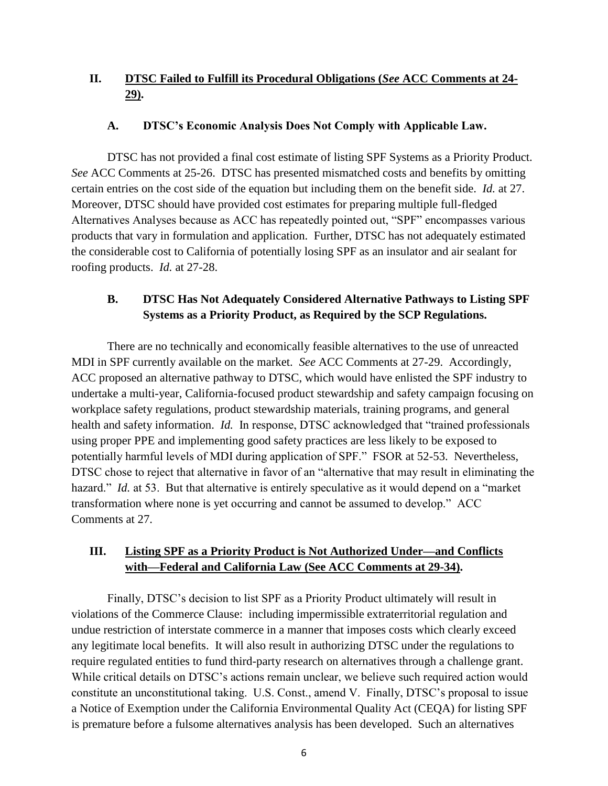# **II. DTSC Failed to Fulfill its Procedural Obligations (***See* **ACC Comments at 24- 29).**

#### **A. DTSC's Economic Analysis Does Not Comply with Applicable Law.**

DTSC has not provided a final cost estimate of listing SPF Systems as a Priority Product. *See* ACC Comments at 25-26. DTSC has presented mismatched costs and benefits by omitting certain entries on the cost side of the equation but including them on the benefit side. *Id.* at 27. Moreover, DTSC should have provided cost estimates for preparing multiple full-fledged Alternatives Analyses because as ACC has repeatedly pointed out, "SPF" encompasses various products that vary in formulation and application. Further, DTSC has not adequately estimated the considerable cost to California of potentially losing SPF as an insulator and air sealant for roofing products. *Id.* at 27-28.

### **B. DTSC Has Not Adequately Considered Alternative Pathways to Listing SPF Systems as a Priority Product, as Required by the SCP Regulations.**

There are no technically and economically feasible alternatives to the use of unreacted MDI in SPF currently available on the market. *See* ACC Comments at 27-29. Accordingly, ACC proposed an alternative pathway to DTSC, which would have enlisted the SPF industry to undertake a multi-year, California-focused product stewardship and safety campaign focusing on workplace safety regulations, product stewardship materials, training programs, and general health and safety information. *Id.* In response, DTSC acknowledged that "trained professionals using proper PPE and implementing good safety practices are less likely to be exposed to potentially harmful levels of MDI during application of SPF." FSOR at 52-53. Nevertheless, DTSC chose to reject that alternative in favor of an "alternative that may result in eliminating the hazard." *Id.* at 53. But that alternative is entirely speculative as it would depend on a "market" transformation where none is yet occurring and cannot be assumed to develop." ACC Comments at 27.

### **III. Listing SPF as a Priority Product is Not Authorized Under—and Conflicts with—Federal and California Law (See ACC Comments at 29-34).**

Finally, DTSC's decision to list SPF as a Priority Product ultimately will result in violations of the Commerce Clause: including impermissible extraterritorial regulation and undue restriction of interstate commerce in a manner that imposes costs which clearly exceed any legitimate local benefits. It will also result in authorizing DTSC under the regulations to require regulated entities to fund third-party research on alternatives through a challenge grant. While critical details on DTSC's actions remain unclear, we believe such required action would constitute an unconstitutional taking. U.S. Const., amend V. Finally, DTSC's proposal to issue a Notice of Exemption under the California Environmental Quality Act (CEQA) for listing SPF is premature before a fulsome alternatives analysis has been developed. Such an alternatives